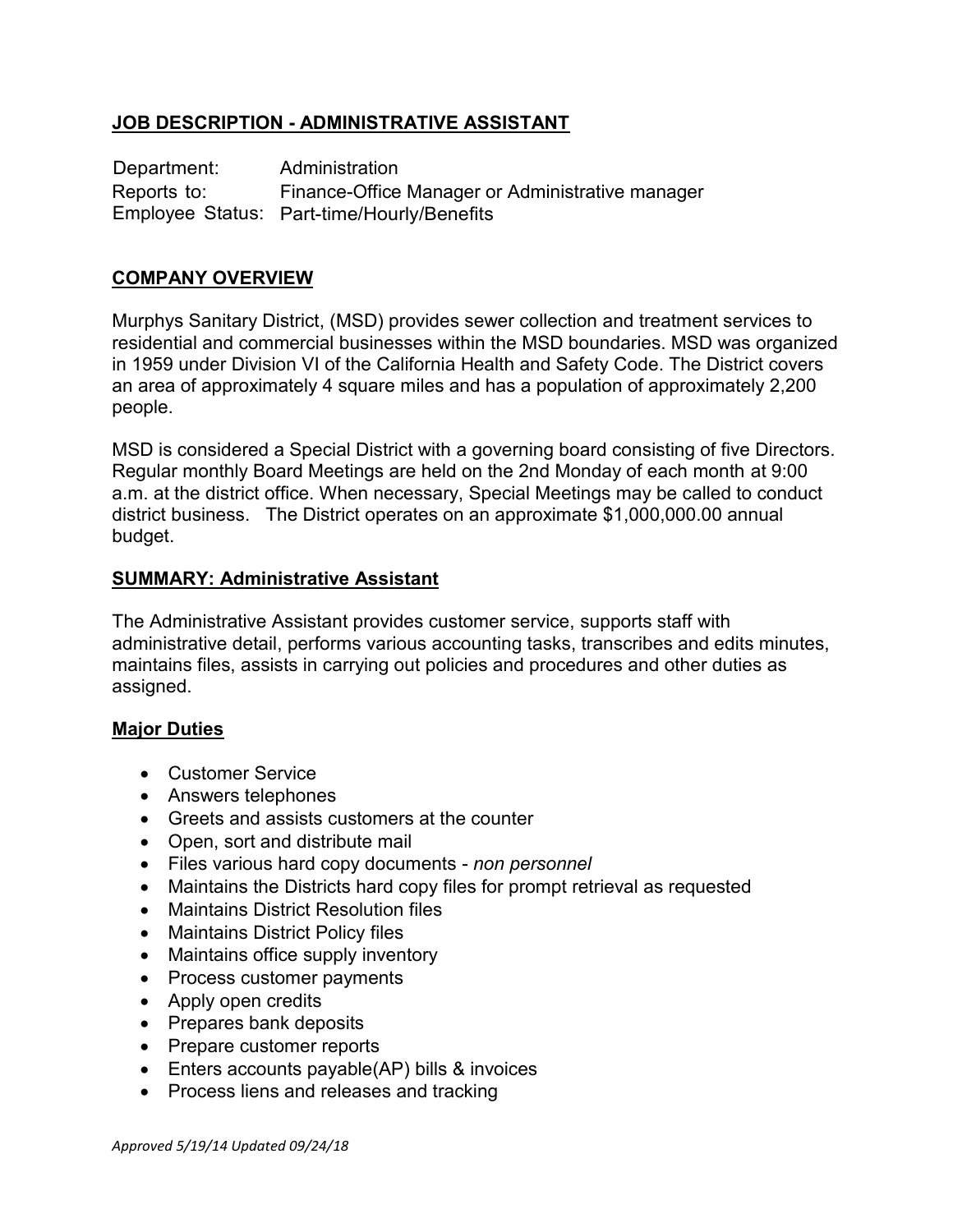# **JOB DESCRIPTION - ADMINISTRATIVE ASSISTANT**

Department: Administration Reports to: Finance-Office Manager or Administrative manager Employee Status: Part-time/Hourly/Benefits

## **COMPANY OVERVIEW**

Murphys Sanitary District, (MSD) provides sewer collection and treatment services to residential and commercial businesses within the MSD boundaries. MSD was organized in 1959 under Division VI of the California Health and Safety Code. The District covers an area of approximately 4 square miles and has a population of approximately 2,200 people.

MSD is considered a Special District with a governing board consisting of five Directors. Regular monthly Board Meetings are held on the 2nd Monday of each month at 9:00 a.m. at the district office. When necessary, Special Meetings may be called to conduct district business. The District operates on an approximate \$1,000,000.00 annual budget.

#### **SUMMARY: Administrative Assistant**

The Administrative Assistant provides customer service, supports staff with administrative detail, performs various accounting tasks, transcribes and edits minutes, maintains files, assists in carrying out policies and procedures and other duties as assigned.

#### **Major Duties**

- Customer Service
- Answers telephones
- Greets and assists customers at the counter
- Open, sort and distribute mail
- Files various hard copy documents *non personnel*
- Maintains the Districts hard copy files for prompt retrieval as requested
- Maintains District Resolution files
- Maintains District Policy files
- Maintains office supply inventory
- Process customer payments
- Apply open credits
- Prepares bank deposits
- Prepare customer reports
- Enters accounts payable(AP) bills & invoices
- Process liens and releases and tracking